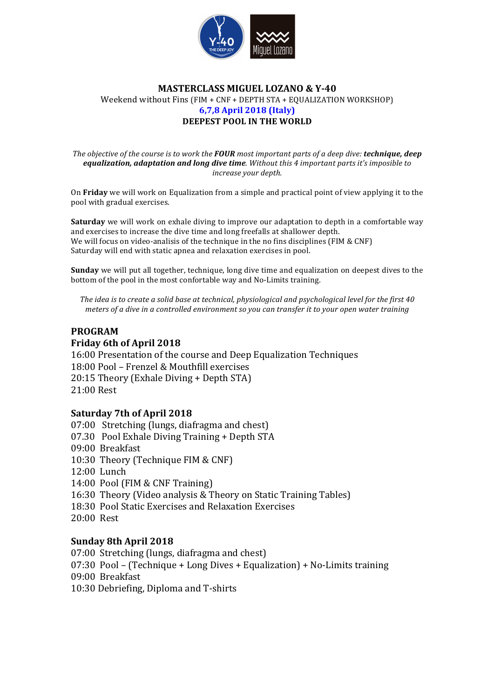

## **MASTERCLASS MIGUEL LOZANO & Y-40** Weekend without Fins (FIM + CNF + DEPTH STA + EQUALIZATION WORKSHOP) **6,7,8 April 2018 (Italy) DEEPEST POOL IN THE WORLD**

*The objective of the course is to work the FOUR most important parts of a deep dive: technique, deep equalization, adaptation and long dive time. Without this 4 important parts it's imposible to increase your depth.*

On **Friday** we will work on Equalization from a simple and practical point of view applying it to the pool with gradual exercises.

**Saturday** we will work on exhale diving to improve our adaptation to depth in a comfortable way and exercises to increase the dive time and long freefalls at shallower depth. We will focus on video-analisis of the technique in the no fins disciplines  $(FIM & CNF)$ Saturday will end with static apnea and relaxation exercises in pool.

**Sunday** we will put all together, technique, long dive time and equalization on deepest dives to the bottom of the pool in the most confortable way and No-Limits training.

The idea is to create a solid base at technical, physiological and psychological level for the first 40 *meters* of a dive in a controlled environment so you can transfer it to your open water training

## **PROGRAM Friday 6th of April 2018**

16:00 Presentation of the course and Deep Equalization Techniques 18:00 Pool - Frenzel & Mouthfill exercises  $20:15$  Theory (Exhale Diving + Depth STA) 21:00 Rest

## **Saturday 7th of April 2018**

 $07:00$  Stretching (lungs, diafragma and chest) 07.30 Pool Exhale Diving Training + Depth STA 09:00 Breakfast 10:30 Theory (Technique FIM & CNF) 12:00 Lunch 14:00 Pool (FIM & CNF Training) 16:30 Theory (Video analysis & Theory on Static Training Tables) 18:30 Pool Static Exercises and Relaxation Exercises 20:00 Rest

## **Sunday 8th April 2018**

07:00 Stretching (lungs, diafragma and chest) 07:30 Pool – (Technique + Long Dives + Equalization) + No-Limits training 09:00 Breakfast 10:30 Debriefing, Diploma and T-shirts